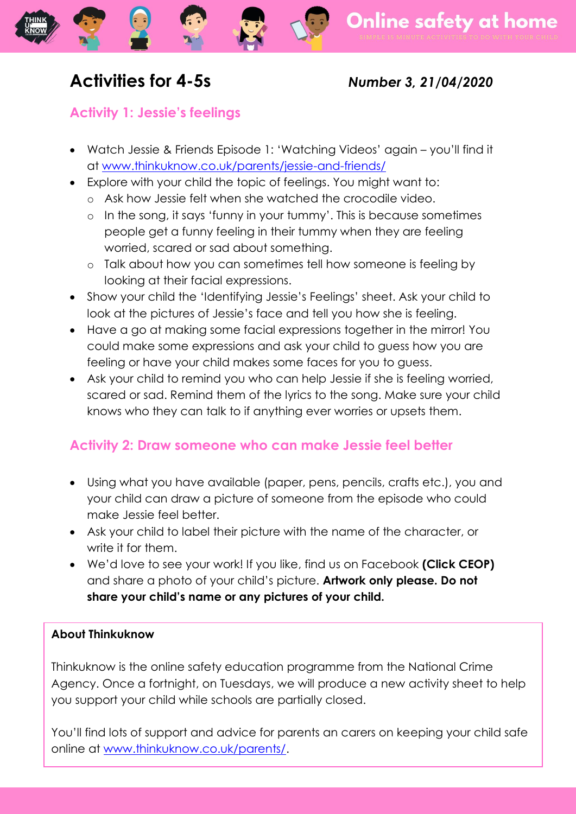# **Activities for 4-5s** *Number 3, 21/04/2020*

### **Activity 1: Jessie's feelings**

- Watch Jessie & Friends Episode 1: 'Watching Videos' again you'll find it at [www.thinkuknow.co.uk/parents/jessie-and-friends/](http://www.thinkuknow.co.uk/parents/jessie-and-friends/)
- Explore with your child the topic of feelings. You might want to:
	- o Ask how Jessie felt when she watched the crocodile video.
	- o In the song, it says 'funny in your tummy'. This is because sometimes people get a funny feeling in their tummy when they are feeling worried, scared or sad about something.
	- o Talk about how you can sometimes tell how someone is feeling by looking at their facial expressions.
- Show your child the 'Identifying Jessie's Feelings' sheet. Ask your child to look at the pictures of Jessie's face and tell you how she is feeling.
- Have a go at making some facial expressions together in the mirror! You could make some expressions and ask your child to guess how you are feeling or have your child makes some faces for you to guess.
- Ask your child to remind you who can help Jessie if she is feeling worried, scared or sad. Remind them of the lyrics to the song. Make sure your child knows who they can talk to if anything ever worries or upsets them.

## **Activity 2: Draw someone who can make Jessie feel better**

- Using what you have available (paper, pens, pencils, crafts etc.), you and your child can draw a picture of someone from the episode who could make Jessie feel better.
- Ask your child to label their picture with the name of the character, or write it for them.
- We'd love to see your work! If you like, find us on Facebook **(Click CEOP)**  and share a photo of your child's picture. **Artwork only please. Do not share your child's name or any pictures of your child.**

#### **About Thinkuknow**

Thinkuknow is the online safety education programme from the National Crime Agency. Once a fortnight, on Tuesdays, we will produce a new activity sheet to help you support your child while schools are partially closed.

You'll find lots of support and advice for parents an carers on keeping your child safe online at [www.thinkuknow.co.uk/parents/.](http://www.thinkuknow.co.uk/parents/)